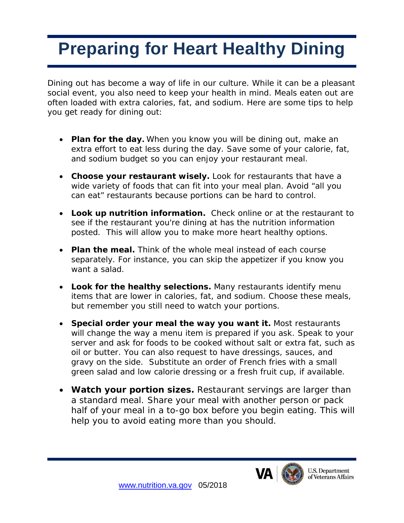## **Preparing for Heart Healthy Dining**

Dining out has become a way of life in our culture. While it can be a pleasant social event, you also need to keep your health in mind. Meals eaten out are often loaded with extra calories, fat, and sodium. Here are some tips to help you get ready for dining out:

- **Plan for the day.** When you know you will be dining out, make an extra effort to eat less during the day. Save some of your calorie, fat, and sodium budget so you can enjoy your restaurant meal.
- **Choose your restaurant wisely.** Look for restaurants that have a wide variety of foods that can fit into your meal plan. Avoid "all you can eat" restaurants because portions can be hard to control.
- **Look up nutrition information.** Check online or at the restaurant to see if the restaurant you're dining at has the nutrition information posted. This will allow you to make more heart healthy options.
- **Plan the meal.** Think of the whole meal instead of each course separately. For instance, you can skip the appetizer if you know you want a salad.
- **Look for the healthy selections.** Many restaurants identify menu items that are lower in calories, fat, and sodium. Choose these meals, but remember you still need to watch your portions.
- **Special order your meal the way you want it.** Most restaurants will change the way a menu item is prepared if you ask. Speak to your server and ask for foods to be cooked without salt or extra fat, such as oil or butter. You can also request to have dressings, sauces, and gravy on the side. Substitute an order of French fries with a small green salad and low calorie dressing or a fresh fruit cup, if available.
- **Watch your portion sizes.** Restaurant servings are larger than a standard meal. Share your meal with another person or pack half of your meal in a to-go box before you begin eating. This will help you to avoid eating more than you should.

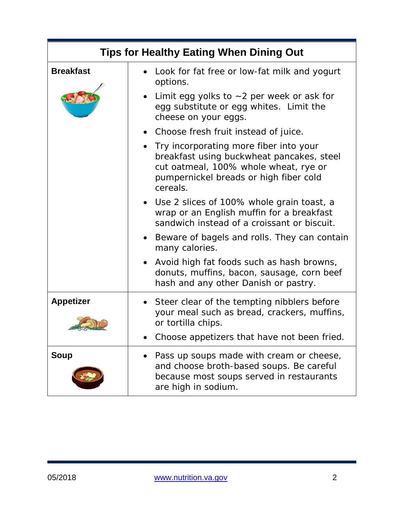| <b>Tips for Healthy Eating When Dining Out</b> |                                                                                                                                                                                      |
|------------------------------------------------|--------------------------------------------------------------------------------------------------------------------------------------------------------------------------------------|
| <b>Breakfast</b>                               | • Look for fat free or low-fat milk and yogurt<br>options.                                                                                                                           |
|                                                | Limit egg yolks to $\sim$ 2 per week or ask for<br>egg substitute or egg whites. Limit the<br>cheese on your eggs.                                                                   |
|                                                | Choose fresh fruit instead of juice.                                                                                                                                                 |
|                                                | • Try incorporating more fiber into your<br>breakfast using buckwheat pancakes, steel<br>cut oatmeal, 100% whole wheat, rye or<br>pumpernickel breads or high fiber cold<br>cereals. |
|                                                | • Use 2 slices of 100% whole grain toast, a<br>wrap or an English muffin for a breakfast<br>sandwich instead of a croissant or biscuit.                                              |
|                                                | Beware of bagels and rolls. They can contain<br>$\bullet$<br>many calories.                                                                                                          |
|                                                | Avoid high fat foods such as hash browns,<br>$\bullet$<br>donuts, muffins, bacon, sausage, corn beef<br>hash and any other Danish or pastry.                                         |
| <b>Appetizer</b>                               | • Steer clear of the tempting nibblers before<br>your meal such as bread, crackers, muffins,<br>or tortilla chips.                                                                   |
|                                                | Choose appetizers that have not been fried.                                                                                                                                          |
| <b>Soup</b>                                    | Pass up soups made with cream or cheese,<br>and choose broth-based soups. Be careful<br>because most soups served in restaurants<br>are high in sodium.                              |